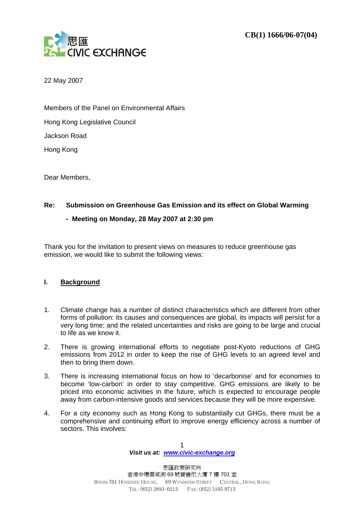

22 May 2007

Members of the Panel on Environmental Affairs

Hong Kong Legislative Council

Jackson Road

Hong Kong

Dear Members,

### **Re: Submission on Greenhouse Gas Emission and its effect on Global Warming**

### **- Meeting on Monday, 28 May 2007 at 2:30 pm**

Thank you for the invitation to present views on measures to reduce greenhouse gas emission, we would like to submit the following views:

### **I. Background**

- 1. Climate change has a number of distinct characteristics which are different from other forms of pollution: its causes and consequences are global, its impacts will persist for a very long time; and the related uncertainties and risks are going to be large and crucial to life as we know it.
- 2. There is growing international efforts to negotiate post-Kyoto reductions of GHG emissions from 2012 in order to keep the rise of GHG levels to an agreed level and then to bring them down.
- 3. There is increasing international focus on how to 'decarbonise' and for economies to become 'low-carbon' in order to stay competitive. GHG emissions are likely to be priced into economic activities in the future, which is expected to encourage people away from carbon-intensive goods and services because they will be more expensive.
- 4. For a city economy such as Hong Kong to substantially cut GHGs, there must be a comprehensive and continuing effort to improve energy efficiency across a number of sectors. This involves: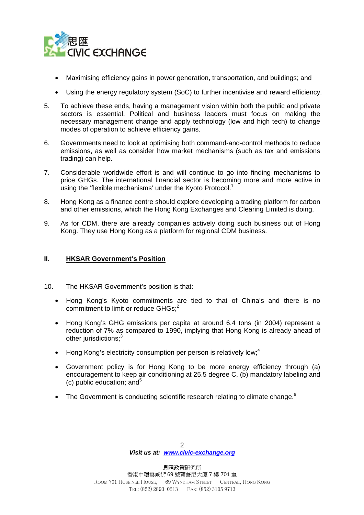

- Maximising efficiency gains in power generation, transportation, and buildings; and
- Using the energy regulatory system (SoC) to further incentivise and reward efficiency.
- 5. To achieve these ends, having a management vision within both the public and private sectors is essential. Political and business leaders must focus on making the necessary management change and apply technology (low and high tech) to change modes of operation to achieve efficiency gains.
- 6. Governments need to look at optimising both command-and-control methods to reduce emissions, as well as consider how market mechanisms (such as tax and emissions trading) can help.
- 7. Considerable worldwide effort is and will continue to go into finding mechanisms to price GHGs. The international financial sector is becoming more and more active in using the 'flexible mechanisms' under the Kyoto Protocol.<sup>1</sup>
- 8. Hong Kong as a finance centre should explore developing a trading platform for carbon and other emissions, which the Hong Kong Exchanges and Clearing Limited is doing.
- 9. As for CDM, there are already companies actively doing such business out of Hong Kong. They use Hong Kong as a platform for regional CDM business.

### **II. HKSAR Government's Position**

- 10. The HKSAR Government's position is that:
	- Hong Kong's Kyoto commitments are tied to that of China's and there is no commitment to limit or reduce GHGs;<sup>2</sup>
	- Hong Kong's GHG emissions per capita at around 6.4 tons (in 2004) represent a reduction of 7% as compared to 1990, implying that Hong Kong is already ahead of other jurisdictions; $^3$
	- Hong Kong's electricity consumption per person is relatively low;<sup>4</sup>
	- Government policy is for Hong Kong to be more energy efficiency through (a) encouragement to keep air conditioning at 25.5 degree C, (b) mandatory labeling and (c) public education; and  $5<sup>5</sup>$
	- The Government is conducting scientific research relating to climate change.<sup>6</sup>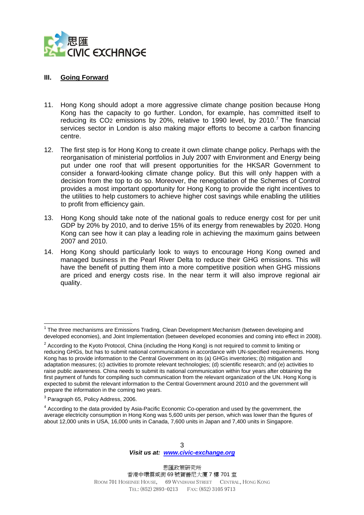

#### **III. Going Forward**

- 11. Hong Kong should adopt a more aggressive climate change position because Hong Kong has the capacity to go further. London, for example, has committed itself to reducing its CO<sub>2</sub> emissions by 20%, relative to 1990 level, by 2010.<sup>7</sup> The financial services sector in London is also making major efforts to become a carbon financing centre.
- 12. The first step is for Hong Kong to create it own climate change policy. Perhaps with the reorganisation of ministerial portfolios in July 2007 with Environment and Energy being put under one roof that will present opportunities for the HKSAR Government to consider a forward-looking climate change policy. But this will only happen with a decision from the top to do so. Moreover, the renegotiation of the Schemes of Control provides a most important opportunity for Hong Kong to provide the right incentives to the utilities to help customers to achieve higher cost savings while enabling the utilities to profit from efficiency gain.
- 13. Hong Kong should take note of the national goals to reduce energy cost for per unit GDP by 20% by 2010, and to derive 15% of its energy from renewables by 2020. Hong Kong can see how it can play a leading role in achieving the maximum gains between 2007 and 2010.
- 14. Hong Kong should particularly look to ways to encourage Hong Kong owned and managed business in the Pearl River Delta to reduce their GHG emissions. This will have the benefit of putting them into a more competitive position when GHG missions are priced and energy costs rise. In the near term it will also improve regional air quality.

 $\overline{a}$ <sup>1</sup> The three mechanisms are Emissions Trading, Clean Development Mechanism (between developing and developed economies), and Joint Implementation (between developed economies and coming into effect in 2008).

<sup>&</sup>lt;sup>2</sup> According to the Kyoto Protocol, China (including the Hong Kong) is not required to commit to limiting or reducing GHGs, but has to submit national communications in accordance with UN-specified requirements. Hong Kong has to provide information to the Central Government on its (a) GHGs inventories; (b) mitigation and adaptation measures; (c) activities to promote relevant technologies; (d) scientific research; and (e) activities to raise public awareness. China needs to submit its national communication within four years after obtaining the first payment of funds for compiling such communication from the relevant organization of the UN. Hong Kong is expected to submit the relevant information to the Central Government around 2010 and the government will prepare the information in the coming two years.

 $^3$  Paragraph 65, Policy Address, 2006.

<sup>&</sup>lt;sup>4</sup> According to the data provided by Asia-Pacific Economic Co-operation and used by the government, the average electricity consumption in Hong Kong was 5,600 units per person, which was lower than the figures of about 12,000 units in USA, 16,000 units in Canada, 7,600 units in Japan and 7,400 units in Singapore.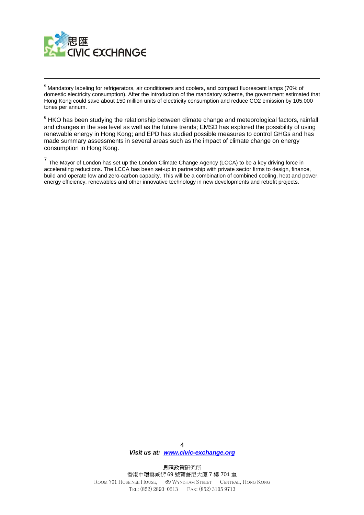

-<br>5 <sup>5</sup> Mandatory labeling for refrigerators, air conditioners and coolers, and compact fluorescent lamps (70% of domestic electricity consumption). After the introduction of the mandatory scheme, the government estimated that Hong Kong could save about 150 million units of electricity consumption and reduce CO2 emission by 105,000 tones per annum.

 $^6$  HKO has been studying the relationship between climate change and meteorological factors, rainfall and changes in the sea level as well as the future trends; EMSD has explored the possibility of using renewable energy in Hong Kong; and EPD has studied possible measures to control GHGs and has made summary assessments in several areas such as the impact of climate change on energy consumption in Hong Kong.

 $7$  The Mayor of London has set up the London Climate Change Agency (LCCA) to be a key driving force in accelerating reductions. The LCCA has been set-up in partnership with private sector firms to design, finance, build and operate low and zero-carbon capacity. This will be a combination of combined cooling, heat and power, energy efficiency, renewables and other innovative technology in new developments and retrofit projects.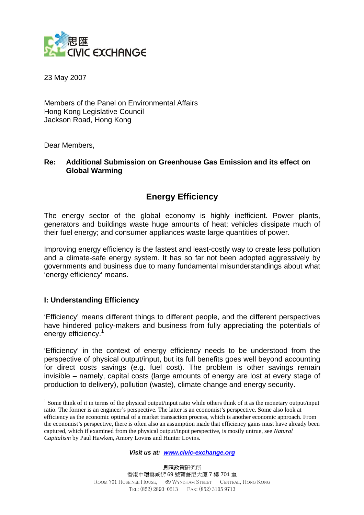

23 May 2007

Members of the Panel on Environmental Affairs Hong Kong Legislative Council Jackson Road, Hong Kong

Dear Members,

# **Re: Additional Submission on Greenhouse Gas Emission and its effect on Global Warming**

# **Energy Efficiency**

The energy sector of the global economy is highly inefficient. Power plants, generators and buildings waste huge amounts of heat; vehicles dissipate much of their fuel energy; and consumer appliances waste large quantities of power.

Improving energy efficiency is the fastest and least-costly way to create less pollution and a climate-safe energy system. It has so far not been adopted aggressively by governments and business due to many fundamental misunderstandings about what 'energy efficiency' means.

# **I: Understanding Efficiency**

 $\overline{a}$ 

'Efficiency' means different things to different people, and the different perspectives have hindered policy-makers and business from fully appreciating the potentials of energy efficiency.<sup>1</sup>

'Efficiency' in the context of energy efficiency needs to be understood from the perspective of physical output/input, but its full benefits goes well beyond accounting for direct costs savings (e.g. fuel cost). The problem is other savings remain invisible – namely, capital costs (large amounts of energy are lost at every stage of production to delivery), pollution (waste), climate change and energy security.

*Visit us at: www.civic-exchange.org*

<sup>&</sup>lt;sup>1</sup> Some think of it in terms of the physical output/input ratio while others think of it as the monetary output/input ratio. The former is an engineer's perspective. The latter is an economist's perspective. Some also look at efficiency as the economic optimal of a market transaction process, which is another economic approach. From the economist's perspective, there is often also an assumption made that efficiency gains must have already been captured, which if examined from the physical output/input perspective, is mostly untrue, see *Natural Capitalism* by Paul Hawken, Amory Lovins and Hunter Lovins.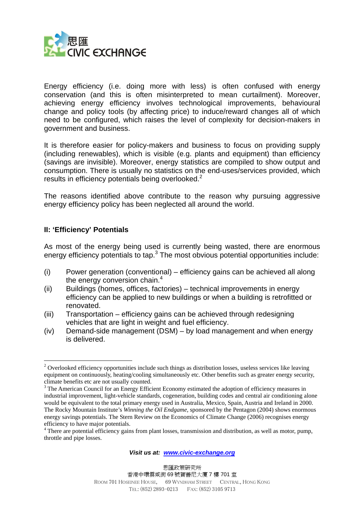

Energy efficiency (i.e. doing more with less) is often confused with energy conservation (and this is often misinterpreted to mean curtailment). Moreover, achieving energy efficiency involves technological improvements, behavioural change and policy tools (by affecting price) to induce/reward changes all of which need to be configured, which raises the level of complexity for decision-makers in government and business.

It is therefore easier for policy-makers and business to focus on providing supply (including renewables), which is visible (e.g. plants and equipment) than efficiency (savings are invisible). Moreover, energy statistics are compiled to show output and consumption. There is usually no statistics on the end-uses/services provided, which results in efficiency potentials being overlooked.<sup>2</sup>

The reasons identified above contribute to the reason why pursuing aggressive energy efficiency policy has been neglected all around the world.

# **II: 'Efficiency' Potentials**

 $\overline{a}$ 

As most of the energy being used is currently being wasted, there are enormous energy efficiency potentials to tap.<sup>3</sup> The most obvious potential opportunities include:

- (i) Power generation (conventional) efficiency gains can be achieved all along the energy conversion chain. $4$
- (ii) Buildings (homes, offices, factories) technical improvements in energy efficiency can be applied to new buildings or when a building is retrofitted or renovated.
- (iii) Transportation efficiency gains can be achieved through redesigning vehicles that are light in weight and fuel efficiency.
- (iv) Demand-side management (DSM) by load management and when energy is delivered.

#### *Visit us at: www.civic-exchange.org*

<sup>&</sup>lt;sup>2</sup> Overlooked efficiency opportunities include such things as distribution losses, useless services like leaving equipment on continuously, heating/cooling simultaneously etc. Other benefits such as greater energy security, climate benefits etc are not usually counted.<br><sup>3</sup> The American Council for an Energy Efficient Economy estimated the adoption of efficiency measures in

industrial improvement, light-vehicle standards, cogeneration, building codes and central air conditioning alone would be equivalent to the total primary energy used in Australia, Mexico, Spain, Austria and Ireland in 2000. The Rocky Mountain Institute's *Winning the Oil Endgame,* sponsored by the Pentagon (2004) shows enormous energy savings potentials. The Stern Review on the Economics of Climate Change (2006) recognises energy efficiency to have major potentials.

<sup>&</sup>lt;sup>4</sup> There are potential efficiency gains from plant losses, transmission and distribution, as well as motor, pump, throttle and pipe losses.